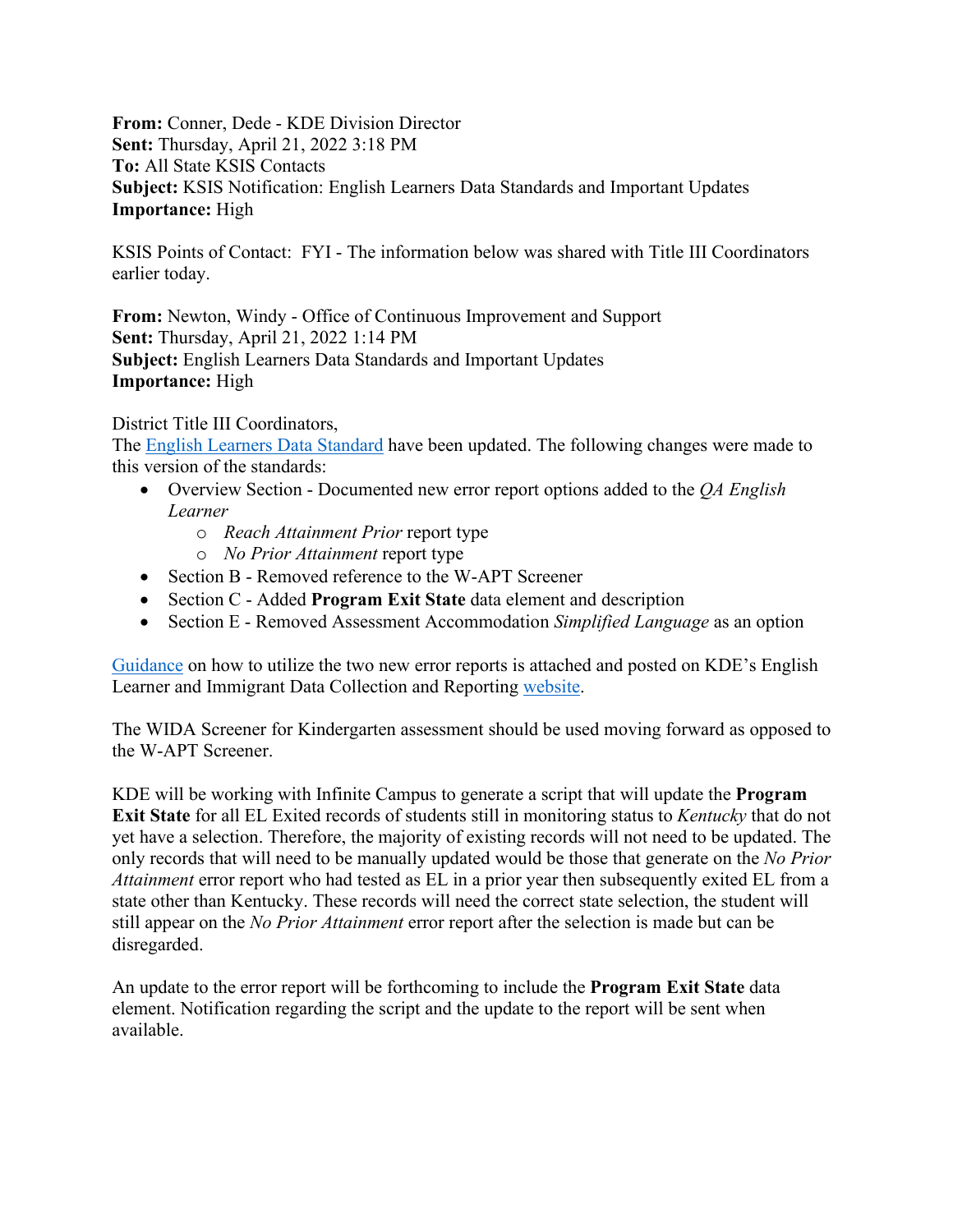**From:** Conner, Dede - KDE Division Director **Sent:** Thursday, April 21, 2022 3:18 PM **To:** All State KSIS Contacts **Subject:** KSIS Notification: English Learners Data Standards and Important Updates **Importance:** High

KSIS Points of Contact: FYI - The information below was shared with Title III Coordinators earlier today.

**From:** Newton, Windy - Office of Continuous Improvement and Support **Sent:** Thursday, April 21, 2022 1:14 PM **Subject:** English Learners Data Standards and Important Updates **Importance:** High

District Title III Coordinators,

The [English Learners Data Standard](https://education.ky.gov/districts/tech/sis/Documents/Standard-LEP.pdf) have been updated. The following changes were made to this version of the standards:

- Overview Section Documented new error report options added to the *QA English Learner*
	- o *Reach Attainment Prior* report type
	- o *No Prior Attainment* report type
- Section B Removed reference to the W-APT Screener
- Section C Added **Program Exit State** data element and description
- Section E Removed Assessment Accommodation *Simplified Language* as an option

[Guidance](https://www.education.ky.gov/federal/progs/eng/Documents/Guidance%20on%20use%20of%20QA%20English%20Learners%20Error%20Reports.pdf) on how to utilize the two new error reports is attached and posted on KDE's English Learner and Immigrant Data Collection and Reporting [website.](https://www.education.ky.gov/federal/progs/eng/Pages/English-Learner-and-Immigrant-Data-Collection-and-Reporting.aspx)

The WIDA Screener for Kindergarten assessment should be used moving forward as opposed to the W-APT Screener.

KDE will be working with Infinite Campus to generate a script that will update the **Program Exit State** for all EL Exited records of students still in monitoring status to *Kentucky* that do not yet have a selection. Therefore, the majority of existing records will not need to be updated. The only records that will need to be manually updated would be those that generate on the *No Prior Attainment* error report who had tested as EL in a prior year then subsequently exited EL from a state other than Kentucky. These records will need the correct state selection, the student will still appear on the *No Prior Attainment* error report after the selection is made but can be disregarded.

An update to the error report will be forthcoming to include the **Program Exit State** data element. Notification regarding the script and the update to the report will be sent when available.